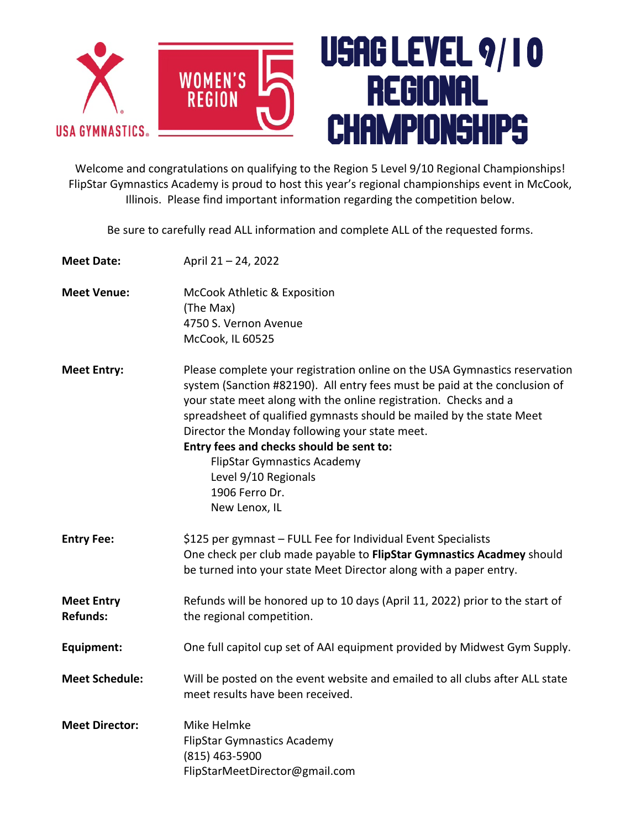

Welcome and congratulations on qualifying to the Region 5 Level 9/10 Regional Championships! FlipStar Gymnastics Academy is proud to host this year's regional championships event in McCook, Illinois. Please find important information regarding the competition below.

Be sure to carefully read ALL information and complete ALL of the requested forms.

| <b>Meet Date:</b>                    | April 21 - 24, 2022                                                                                                                                                                                                                                                                                                                                                                                                                                                                                 |
|--------------------------------------|-----------------------------------------------------------------------------------------------------------------------------------------------------------------------------------------------------------------------------------------------------------------------------------------------------------------------------------------------------------------------------------------------------------------------------------------------------------------------------------------------------|
| <b>Meet Venue:</b>                   | <b>McCook Athletic &amp; Exposition</b><br>(The Max)<br>4750 S. Vernon Avenue<br>McCook, IL 60525                                                                                                                                                                                                                                                                                                                                                                                                   |
| <b>Meet Entry:</b>                   | Please complete your registration online on the USA Gymnastics reservation<br>system (Sanction #82190). All entry fees must be paid at the conclusion of<br>your state meet along with the online registration. Checks and a<br>spreadsheet of qualified gymnasts should be mailed by the state Meet<br>Director the Monday following your state meet.<br>Entry fees and checks should be sent to:<br><b>FlipStar Gymnastics Academy</b><br>Level 9/10 Regionals<br>1906 Ferro Dr.<br>New Lenox, IL |
| <b>Entry Fee:</b>                    | \$125 per gymnast - FULL Fee for Individual Event Specialists<br>One check per club made payable to FlipStar Gymnastics Acadmey should<br>be turned into your state Meet Director along with a paper entry.                                                                                                                                                                                                                                                                                         |
| <b>Meet Entry</b><br><b>Refunds:</b> | Refunds will be honored up to 10 days (April 11, 2022) prior to the start of<br>the regional competition.                                                                                                                                                                                                                                                                                                                                                                                           |
| Equipment:                           | One full capitol cup set of AAI equipment provided by Midwest Gym Supply.                                                                                                                                                                                                                                                                                                                                                                                                                           |
| <b>Meet Schedule:</b>                | Will be posted on the event website and emailed to all clubs after ALL state<br>meet results have been received.                                                                                                                                                                                                                                                                                                                                                                                    |
| <b>Meet Director:</b>                | Mike Helmke<br><b>FlipStar Gymnastics Academy</b><br>(815) 463-5900<br>FlipStarMeetDirector@gmail.com                                                                                                                                                                                                                                                                                                                                                                                               |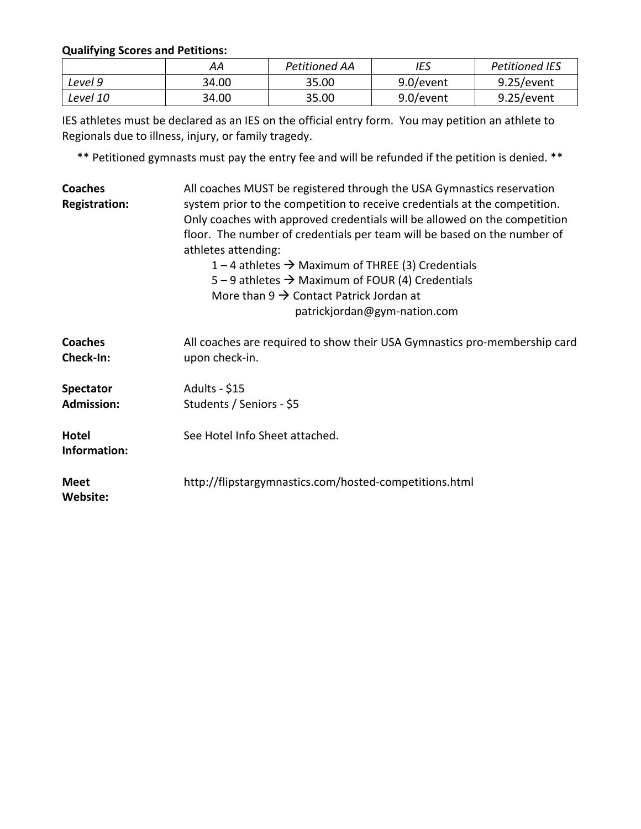## **Qualifying Scores and Petitions:**

|          | AА    | Petitioned AA | IES       | <b>Petitioned IES</b> |
|----------|-------|---------------|-----------|-----------------------|
| Level 9  | 34.00 | 35.00         | 9.0/event | 9.25/event            |
| Level 10 | 34.00 | 35.00         | 9.0/event | 9.25/event            |

IES athletes must be declared as an IES on the official entry form. You may petition an athlete to Regionals due to illness, injury, or family tragedy.

\*\* Petitioned gymnasts must pay the entry fee and will be refunded if the petition is denied. \*\*

| <b>Coaches</b><br><b>Registration:</b> | All coaches MUST be registered through the USA Gymnastics reservation<br>system prior to the competition to receive credentials at the competition.<br>Only coaches with approved credentials will be allowed on the competition<br>floor. The number of credentials per team will be based on the number of<br>athletes attending:<br>1 – 4 athletes $\rightarrow$ Maximum of THREE (3) Credentials<br>5 – 9 athletes $\rightarrow$ Maximum of FOUR (4) Credentials<br>More than $9 \rightarrow$ Contact Patrick Jordan at<br>patrickjordan@gym-nation.com |  |  |
|----------------------------------------|-------------------------------------------------------------------------------------------------------------------------------------------------------------------------------------------------------------------------------------------------------------------------------------------------------------------------------------------------------------------------------------------------------------------------------------------------------------------------------------------------------------------------------------------------------------|--|--|
| <b>Coaches</b><br>Check-In:            | All coaches are required to show their USA Gymnastics pro-membership card<br>upon check-in.                                                                                                                                                                                                                                                                                                                                                                                                                                                                 |  |  |
| <b>Spectator</b><br><b>Admission:</b>  | Adults - \$15<br>Students / Seniors - \$5                                                                                                                                                                                                                                                                                                                                                                                                                                                                                                                   |  |  |
| <b>Hotel</b><br>Information:           | See Hotel Info Sheet attached.                                                                                                                                                                                                                                                                                                                                                                                                                                                                                                                              |  |  |
| <b>Meet</b><br>Website:                | http://flipstargymnastics.com/hosted-competitions.html                                                                                                                                                                                                                                                                                                                                                                                                                                                                                                      |  |  |